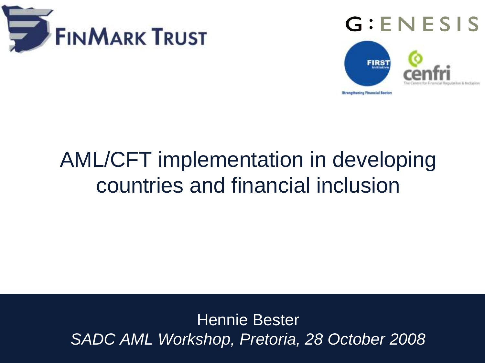





## $A_{\rm{max}}$  implementation in developing countries and access to  $\sim$ AML/CFT implementation in developing countries and financial inclusion

Hennie Bester *SADC AML Workshop, Pretoria, 28 October 2008*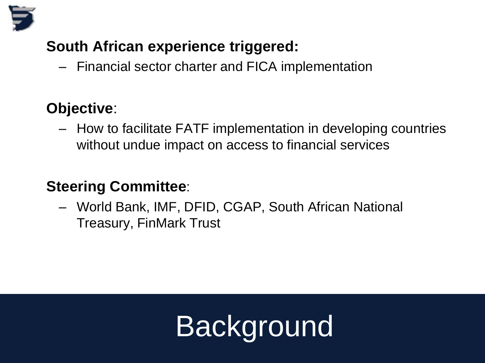

### **South African experience triggered:**

– Financial sector charter and FICA implementation

#### **Objective**:

– How to facilitate FATF implementation in developing countries without undue impact on access to financial services

### **Steering Committee**:

– World Bank, IMF, DFID, CGAP, South African National Treasury, FinMark Trust

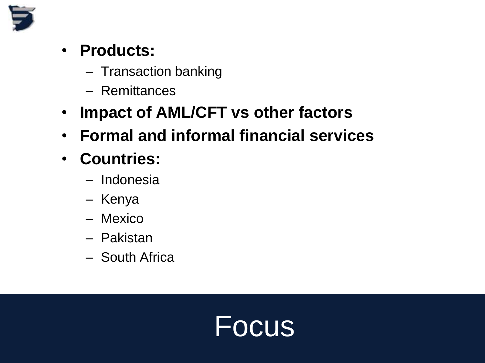

- **Products:**
	- Transaction banking
	- Remittances
- **Impact of AML/CFT vs other factors**
- **Formal and informal financial services**
- **Countries:**
	- Indonesia
	- Kenya
	- Mexico
	- Pakistan
	- South Africa

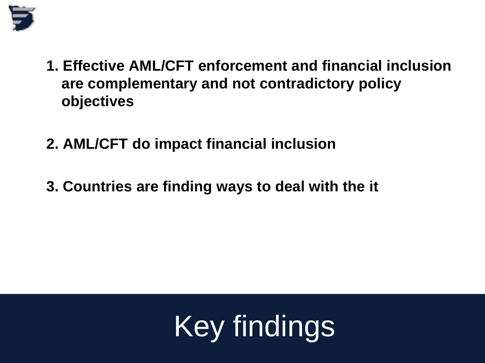

- **1. Effective AML/CFT enforcement and financial inclusion are complementary and not contradictory policy objectives**
- **2. AML/CFT do impact financial inclusion**
- **3. Countries are finding ways to deal with the it**

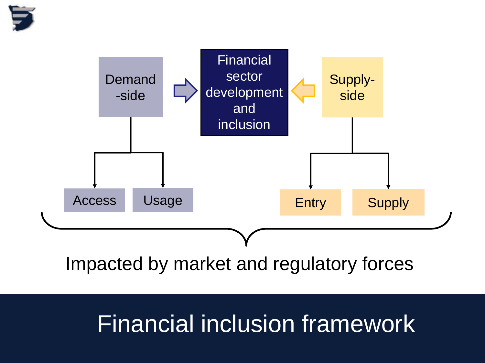



## Financial inclusion framework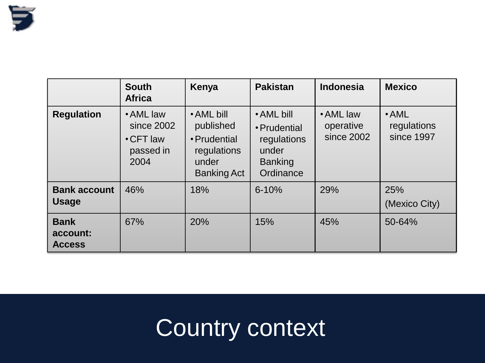

|                                          | <b>South</b><br><b>Africa</b>                                   | Kenya                                                                                 | <b>Pakistan</b>                                                                   | <b>Indonesia</b>                     | <b>Mexico</b>                            |
|------------------------------------------|-----------------------------------------------------------------|---------------------------------------------------------------------------------------|-----------------------------------------------------------------------------------|--------------------------------------|------------------------------------------|
| <b>Regulation</b>                        | • AML law<br>since 2002<br>$\cdot$ CFT law<br>passed in<br>2004 | • AML bill<br>published<br>• Prudential<br>regulations<br>under<br><b>Banking Act</b> | • AML bill<br>• Prudential<br>regulations<br>under<br><b>Banking</b><br>Ordinance | • AML law<br>operative<br>since 2002 | $\cdot$ AML<br>regulations<br>since 1997 |
| <b>Bank account</b><br><b>Usage</b>      | 46%                                                             | 18%                                                                                   | $6 - 10%$                                                                         | 29%                                  | 25%<br>(Mexico City)                     |
| <b>Bank</b><br>account:<br><b>Access</b> | 67%                                                             | 20%                                                                                   | 15%                                                                               | 45%                                  | 50-64%                                   |

## Country context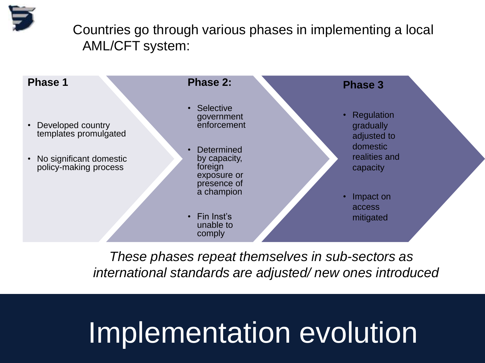Countries go through various phases in implementing a local AML/CFT system:



*These phases repeat themselves in sub-sectors as international standards are adjusted/ new ones introduced*

# Implementation evolution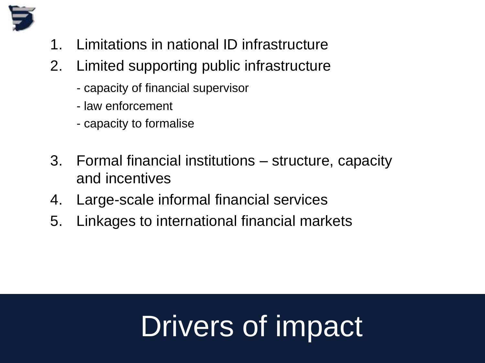

- 1. Limitations in national ID infrastructure
- 2. Limited supporting public infrastructure
	- capacity of financial supervisor
	- law enforcement
	- capacity to formalise
- 3. Formal financial institutions structure, capacity and incentives
- 4. Large-scale informal financial services
- 5. Linkages to international financial markets

# Drivers of impact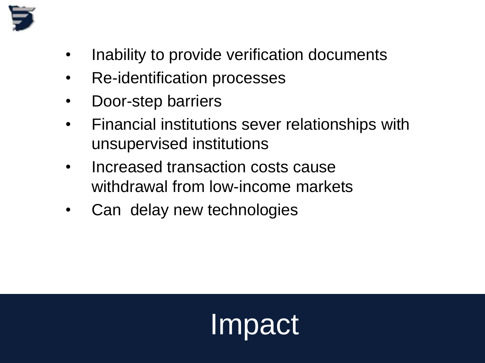

- Inability to provide verification documents
- Re-identification processes
- Door-step barriers
- Financial institutions sever relationships with unsupervised institutions
- Increased transaction costs cause withdrawal from low-income markets
- Can delay new technologies

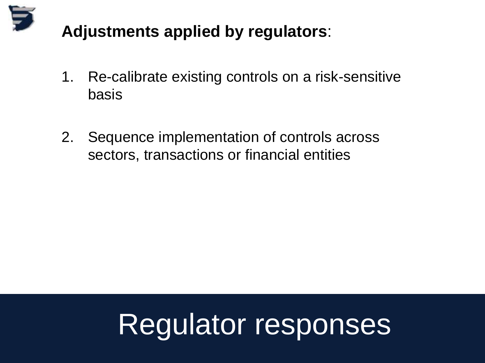

## **Adjustments applied by regulators**:

- 1. Re-calibrate existing controls on a risk-sensitive basis
- 2. Sequence implementation of controls across sectors, transactions or financial entities

# Regulator responses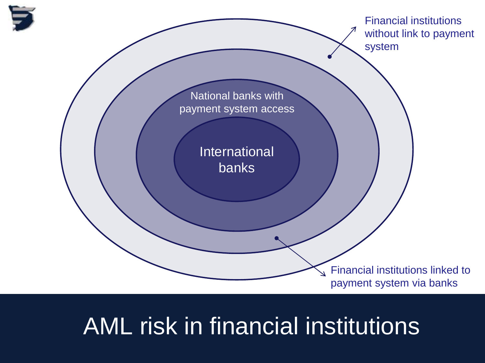

## AML risk in financial institutions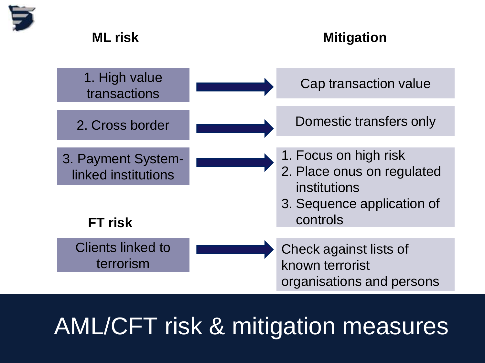

#### mitigation and the Mitigation of the Mitigation of the Mitigation of the Mitigation of the Mitigation of the M<br>The Mitigation of the Mitigation of the Mitigation of the Mitigation of the Mitigation of the Mitigation of the **ML risk Mitigation**



# AML/CFT risk & mitigation measures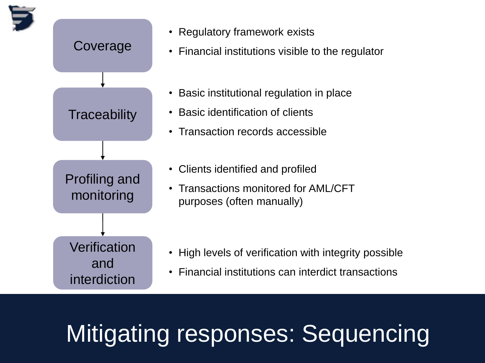

# Mitigating responses: Sequencing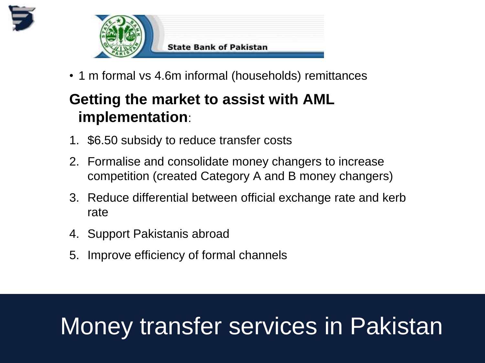



• 1 m formal vs 4.6m informal (households) remittances

## **Getting the market to assist with AML implementation**:

- 1. \$6.50 subsidy to reduce transfer costs
- 2. Formalise and consolidate money changers to increase competition (created Category A and B money changers)
- 3. Reduce differential between official exchange rate and kerb rate
- 4. Support Pakistanis abroad
- 5. Improve efficiency of formal channels

# Money transfer services in Pakistan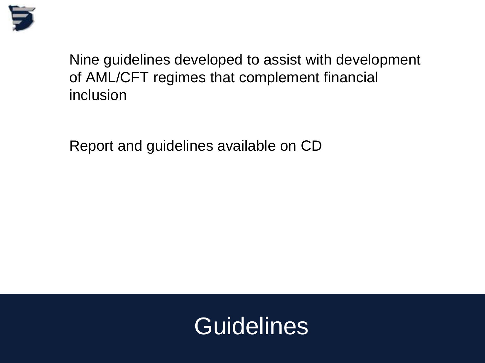

Nine guidelines developed to assist with development of AML/CFT regimes that complement financial inclusion

Report and guidelines available on CD